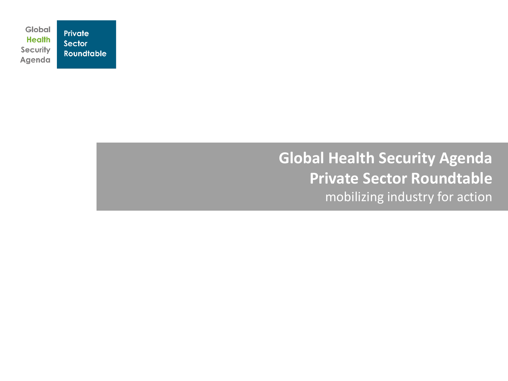Global Private **Health** Sector Security **Roundtable** Agenda

### **Global Health Security Agenda Private Sector Roundtable** mobilizing industry for action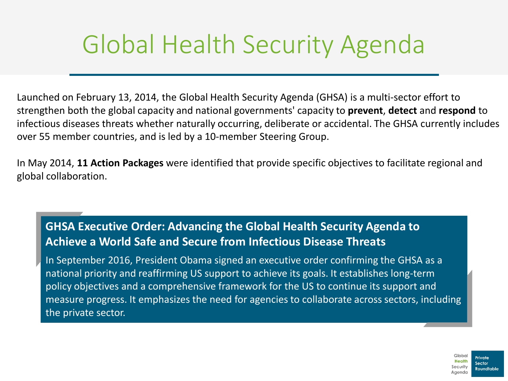### Global Health Security Agenda

Launched on February 13, 2014, the Global Health Security Agenda (GHSA) is a multi-sector effort to strengthen both the global capacity and national governments' capacity to **prevent**, **detect** and **respond** to infectious diseases threats whether naturally occurring, deliberate or accidental. The GHSA currently includes over 55 member countries, and is led by a 10-member Steering Group.

In May 2014, **11 Action Packages** were identified that provide specific objectives to facilitate regional and global collaboration.

### **GHSA Executive Order: Advancing the Global Health Security Agenda to Achieve a World Safe and Secure from Infectious Disease Threats**

In September 2016, President Obama signed an executive order confirming the GHSA as a national priority and reaffirming US support to achieve its goals. It establishes long-term policy objectives and a comprehensive framework for the US to continue its support and measure progress. It emphasizes the need for agencies to collaborate across sectors, including the private sector.

> Global Private dealth Roundtable **aendr**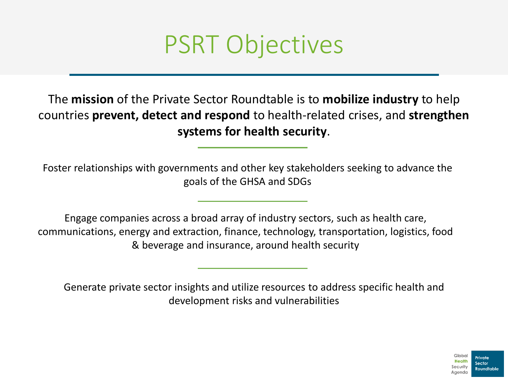

The **mission** of the Private Sector Roundtable is to **mobilize industry** to help countries **prevent, detect and respond** to health-related crises, and **strengthen systems for health security**.

Foster relationships with governments and other key stakeholders seeking to advance the goals of the GHSA and SDGs

Engage companies across a broad array of industry sectors, such as health care, communications, energy and extraction, finance, technology, transportation, logistics, food & beverage and insurance, around health security

Generate private sector insights and utilize resources to address specific health and development risks and vulnerabilities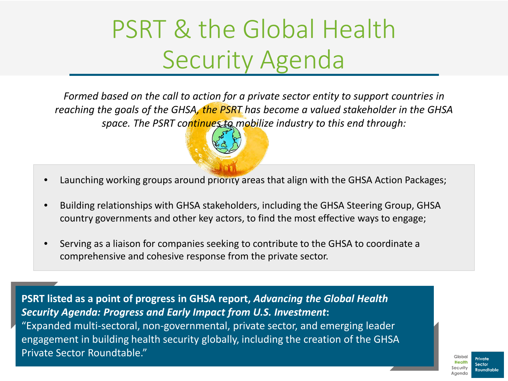### PSRT & the Global Health Security Agenda

*Formed based on the call to action for a private sector entity to support countries in reaching the goals of the GHSA, the PSRT has become a valued stakeholder in the GHSA space. The PSRT continues to mobilize industry to this end through:*



- Building relationships with GHSA stakeholders, including the GHSA Steering Group, GHSA country governments and other key actors, to find the most effective ways to engage;
- Serving as a liaison for companies seeking to contribute to the GHSA to coordinate a comprehensive and cohesive response from the private sector.

**PSRT listed as a point of progress in GHSA report,** *Advancing the Global Health Security Agenda: Progress and Early Impact from U.S. Investment***:** "Expanded multi-sectoral, non-governmental, private sector, and emerging leader engagement in building health security globally, including the creation of the GHSA Private Sector Roundtable."

Private <u>daundtable S</u>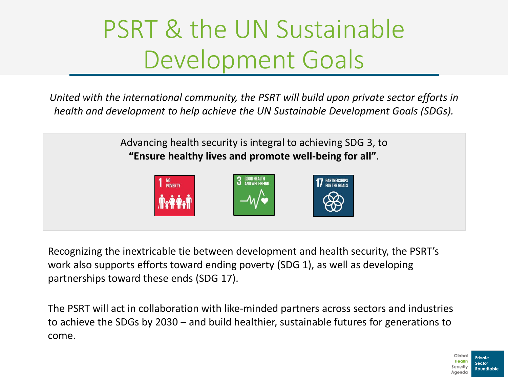### PSRT & the UN Sustainable Development Goals

*United with the international community, the PSRT will build upon private sector efforts in health and development to help achieve the UN Sustainable Development Goals (SDGs).*

> Advancing health security is integral to achieving SDG 3, to **"Ensure healthy lives and promote well-being for all"**.



Recognizing the inextricable tie between development and health security, the PSRT's work also supports efforts toward ending poverty (SDG 1), as well as developing partnerships toward these ends (SDG 17).

The PSRT will act in collaboration with like-minded partners across sectors and industries to achieve the SDGs by 2030 – and build healthier, sustainable futures for generations to come.

> Global Private Health Sector Roundtable **Aciendo**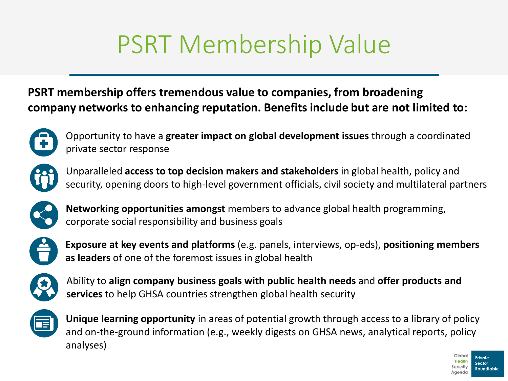# PSRT Membership Value

### **PSRT membership offers tremendous value to companies, from broadening company networks to enhancing reputation. Benefits include but are not limited to:**



Opportunity to have a **greater impact on global development issues** through a coordinated private sector response



Unparalleled **access to top decision makers and stakeholders** in global health, policy and security, opening doors to high-level government officials, civil society and multilateral partners



**Networking opportunities amongst** members to advance global health programming, corporate social responsibility and business goals



**Exposure at key events and platforms** (e.g. panels, interviews, op-eds), **positioning members as leaders** of one of the foremost issues in global health



Ability to **align company business goals with public health needs** and **offer products and services** to help GHSA countries strengthen global health security



**Unique learning opportunity** in areas of potential growth through access to a library of policy and on-the-ground information (e.g., weekly digests on GHSA news, analytical reports, policy analyses)

Global

**aendr** 

Private Roundtable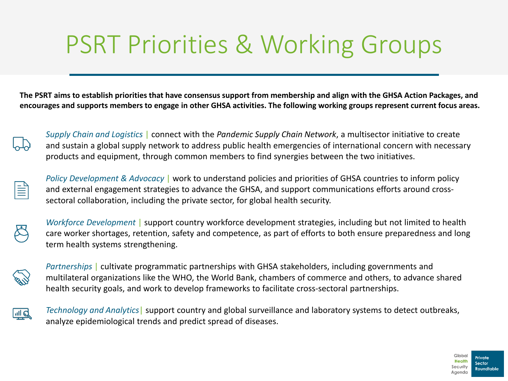### PSRT Priorities & Working Groups

**The PSRT aims to establish priorities that have consensus support from membership and align with the GHSA Action Packages, and encourages and supports members to engage in other GHSA activities. The following working groups represent current focus areas.**



*Supply Chain and Logistics* | connect with the *Pandemic Supply Chain Network*, a multisector initiative to create and sustain a global supply network to address public health emergencies of international concern with necessary products and equipment, through common members to find synergies between the two initiatives.



*Policy Development & Advocacy* | work to understand policies and priorities of GHSA countries to inform policy and external engagement strategies to advance the GHSA, and support communications efforts around crosssectoral collaboration, including the private sector, for global health security.



*Workforce Development* | support country workforce development strategies, including but not limited to health care worker shortages, retention, safety and competence, as part of efforts to both ensure preparedness and long term health systems strengthening.



*Partnerships* | cultivate programmatic partnerships with GHSA stakeholders, including governments and multilateral organizations like the WHO, the World Bank, chambers of commerce and others, to advance shared health security goals, and work to develop frameworks to facilitate cross-sectoral partnerships.



*Technology and Analytics*| support country and global surveillance and laboratory systems to detect outbreaks, analyze epidemiological trends and predict spread of diseases.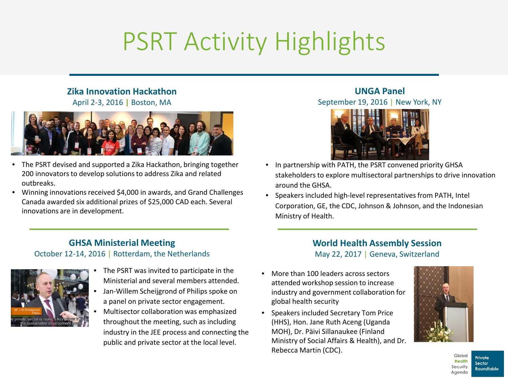# PSRT Activity Highlights

#### **Zika Innovation Hackathon**

April 2-3, 2016 **|** Boston, MA



- The PSRT devised and supported a Zika Hackathon, bringing together 200 innovators to develop solutions to address Zika and related outbreaks.
- Winning innovations received \$4,000 in awards, and Grand Challenges Canada awarded six additional prizes of \$25,000 CAD each. Several innovations are in development.

#### **GHSA Ministerial Meeting**  October 12-14, 2016 | Rotterdam, the Netherlands



- The PSRT was invited to participate in the Ministerial and several members attended.
- Jan-Willem Scheijgrond of Philips spoke on a panel on private sector engagement.
- Multisector collaboration was emphasized throughout the meeting, such as including industry in the JEE process and connecting the public and private sector at the local level.

#### **UNGA Panel** September 19, 2016 | New York, NY



- In partnership with PATH, the PSRT convened priority GHSA stakeholders to explore multisectoral partnerships to drive innovation around the GHSA.
- Speakers included high-level representatives from PATH, Intel Corporation, GE, the CDC, Johnson & Johnson, and the Indonesian Ministry of Health.

#### **World Health Assembly Session** May 22, 2017 | Geneva, Switzerland

- More than 100 leaders across sectors attended workshop session to increase industry and government collaboration for global health security
- Speakers included Secretary Tom Price (HHS), Hon. Jane Ruth Aceng (Uganda MOH), Dr. Päivi Sillanaukee (Finland Ministry of Social Affairs & Health), and Dr. Rebecca Martin (CDC).



Global Private **Health** Sector Security **Roundtable** Agenda